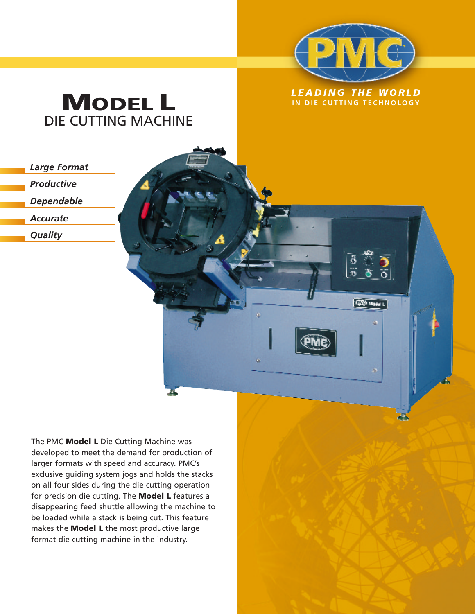

 $\frac{5}{2}$ 

ö

**GOO Made L** 

ò

## *LEADING THE WORLD* **MODEL L IN DIE CUTTING TECHNOLOGY** DIE CUTTING MACHINE

*Large Format*

*Productive*

*Dependable*

*Accurate*

*Quality*

The PMC **Model L** Die Cutting Machine was developed to meet the demand for production of larger formats with speed and accuracy. PMC's exclusive guiding system jogs and holds the stacks on all four sides during the die cutting operation for precision die cutting. The **Model L** features a disappearing feed shuttle allowing the machine to be loaded while a stack is being cut. This feature makes the **Model L** the most productive large format die cutting machine in the industry.